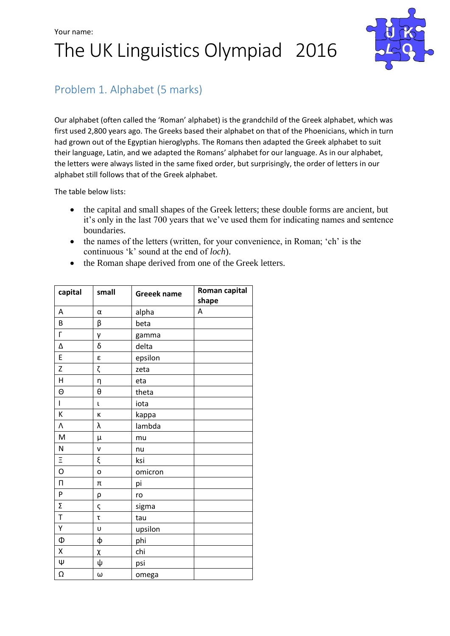# Your name: The UK Linguistics Olympiad 2016



## Problem 1. Alphabet (5 marks)

Our alphabet (often called the 'Roman' alphabet) is the grandchild of the Greek alphabet, which was first used 2,800 years ago. The Greeks based their alphabet on that of the Phoenicians, which in turn had grown out of the Egyptian hieroglyphs. The Romans then adapted the Greek alphabet to suit their language, Latin, and we adapted the Romans' alphabet for our language. As in our alphabet, the letters were always listed in the same fixed order, but surprisingly, the order of letters in our alphabet still follows that of the Greek alphabet.

The table below lists:

- the capital and small shapes of the Greek letters; these double forms are ancient, but it's only in the last 700 years that we've used them for indicating names and sentence boundaries.
- the names of the letters (written, for your convenience, in Roman; 'ch' is the continuous 'k' sound at the end of *loch*).
- the Roman shape derived from one of the Greek letters.

| capital        | small    | <b>Greeek name</b> | Roman capital<br>shape |
|----------------|----------|--------------------|------------------------|
| Α              | α        | alpha              | A                      |
| B              | β        | beta               |                        |
| Г              | γ        | gamma              |                        |
| Δ              | δ        | delta              |                        |
| E              | ε        | epsilon            |                        |
| Z              | ζ        | zeta               |                        |
| H              | η        | eta                |                        |
| Θ              | $\theta$ | theta              |                        |
| $\mathsf{I}$   | t        | iota               |                        |
| К              | K        | kappa              |                        |
| Λ              | λ        | lambda             |                        |
| M              | μ        | mu                 |                        |
| N              | ν        | nu                 |                        |
| $\Xi$          | ξ        | ksi                |                        |
| $\overline{0}$ | O        | omicron            |                        |
| $\Box$         | π        | pi                 |                        |
| P              | ρ        | ro                 |                        |
| Σ              | ς        | sigma              |                        |
| T              | τ        | tau                |                        |
| Υ              | U        | upsilon            |                        |
| Ф              | ф        | phi                |                        |
| X              | χ        | chi                |                        |
| Ψ              | ψ        | psi                |                        |
| Ω              | ω        | omega              |                        |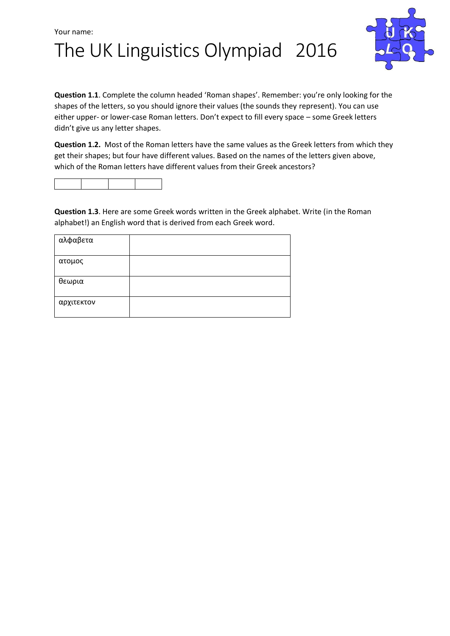



**Question 1.1**. Complete the column headed 'Roman shapes'. Remember: you're only looking for the shapes of the letters, so you should ignore their values (the sounds they represent). You can use either upper- or lower-case Roman letters. Don't expect to fill every space – some Greek letters didn't give us any letter shapes.

**Question 1.2.** Most of the Roman letters have the same values as the Greek letters from which they get their shapes; but four have different values. Based on the names of the letters given above, which of the Roman letters have different values from their Greek ancestors?



**Question 1.3**. Here are some Greek words written in the Greek alphabet. Write (in the Roman alphabet!) an English word that is derived from each Greek word.

| αλφαβετα   |  |
|------------|--|
| ατομος     |  |
| θεωρια     |  |
| αρχιτεκτον |  |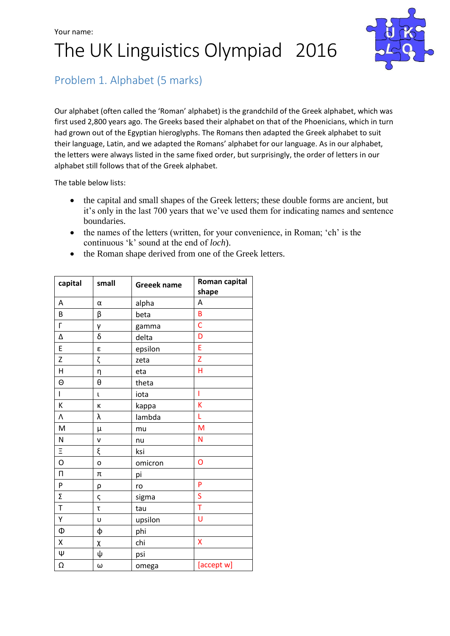#### Your name:

# The UK Linguistics Olympiad 2016



### Problem 1. Alphabet (5 marks)

Our alphabet (often called the 'Roman' alphabet) is the grandchild of the Greek alphabet, which was first used 2,800 years ago. The Greeks based their alphabet on that of the Phoenicians, which in turn had grown out of the Egyptian hieroglyphs. The Romans then adapted the Greek alphabet to suit their language, Latin, and we adapted the Romans' alphabet for our language. As in our alphabet, the letters were always listed in the same fixed order, but surprisingly, the order of letters in our alphabet still follows that of the Greek alphabet.

The table below lists:

- the capital and small shapes of the Greek letters; these double forms are ancient, but it's only in the last 700 years that we've used them for indicating names and sentence boundaries.
- the names of the letters (written, for your convenience, in Roman; 'ch' is the continuous 'k' sound at the end of *loch*).
- the Roman shape derived from one of the Greek letters.

| capital                 | small | <b>Greeek name</b> | Roman capital<br>shape                                                                                     |
|-------------------------|-------|--------------------|------------------------------------------------------------------------------------------------------------|
| Α                       | α     | alpha              | Α                                                                                                          |
| B                       | β     | beta               | B                                                                                                          |
| $\overline{\Gamma}$     | γ     | gamma              | $\mathsf{C}$                                                                                               |
| Δ                       | δ     | delta              | D                                                                                                          |
| E                       | ε     | epsilon            | E                                                                                                          |
| Z                       | ζ     | zeta               | Z                                                                                                          |
| $\overline{\mathsf{H}}$ | η     | eta                | H                                                                                                          |
| Θ                       | θ     | theta              |                                                                                                            |
| $\mathbf{I}$            | L     | iota               | Ï                                                                                                          |
| К                       | К     | kappa              | K                                                                                                          |
| ٨                       | λ     | lambda             | Ĺ                                                                                                          |
| M                       | μ     | mu                 | $\mathsf{M}% _{T}=\mathsf{M}_{T}\!\left( a,b\right) ,\ \mathsf{M}_{T}=\mathsf{M}_{T}\!\left( a,b\right) ,$ |
| N                       | ν     | nu                 | N                                                                                                          |
| $\equiv$                | ξ     | ksi                |                                                                                                            |
| O                       | O     | omicron            | O                                                                                                          |
| $\Box$                  | π     | pi                 |                                                                                                            |
| P                       | ρ     | ro                 | P                                                                                                          |
| Σ                       | ς     | sigma              | S                                                                                                          |
| $\bar{T}$               | τ     | tau                | $\bar{T}$                                                                                                  |
| Υ                       | U     | upsilon            | Ù                                                                                                          |
| Ф                       | ф     | phi                |                                                                                                            |
| X                       | χ     | chi                | X                                                                                                          |
| ψ                       | ψ     | psi                |                                                                                                            |
| Ω                       | ω     | omega              | [accept w]                                                                                                 |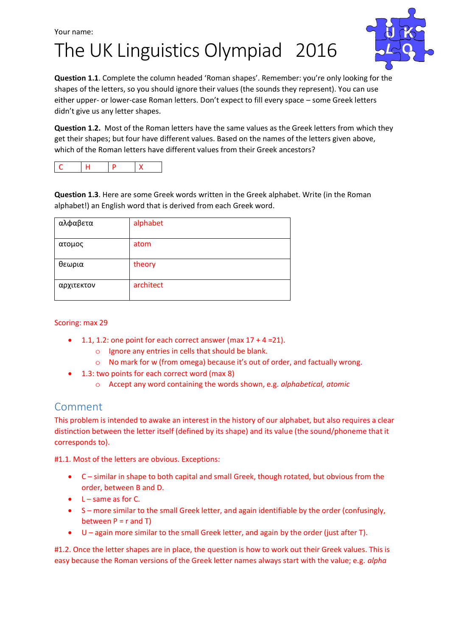## Your name: The UK Linguistics Olympiad 2016



**Question 1.1**. Complete the column headed 'Roman shapes'. Remember: you're only looking for the shapes of the letters, so you should ignore their values (the sounds they represent). You can use either upper- or lower-case Roman letters. Don't expect to fill every space – some Greek letters didn't give us any letter shapes.

**Question 1.2.** Most of the Roman letters have the same values as the Greek letters from which they get their shapes; but four have different values. Based on the names of the letters given above, which of the Roman letters have different values from their Greek ancestors?

|--|

**Question 1.3**. Here are some Greek words written in the Greek alphabet. Write (in the Roman alphabet!) an English word that is derived from each Greek word.

| αλφαβετα   | alphabet  |
|------------|-----------|
| ατομος     | atom      |
| θεωρια     | theory    |
| αρχιτεκτον | architect |

#### Scoring: max 29

- $\bullet$  1.1, 1.2: one point for each correct answer (max  $17 + 4 = 21$ ).
	- o Ignore any entries in cells that should be blank.
	- o No mark for w (from omega) because it's out of order, and factually wrong.
- 1.3: two points for each correct word (max 8)
	- o Accept any word containing the words shown, e.g. *alphabetical, atomic*

#### Comment

This problem is intended to awake an interest in the history of our alphabet, but also requires a clear distinction between the letter itself (defined by its shape) and its value (the sound/phoneme that it corresponds to).

#1.1. Most of the letters are obvious. Exceptions:

- C similar in shape to both capital and small Greek, though rotated, but obvious from the order, between B and D.
- $L$  same as for C.
- S more similar to the small Greek letter, and again identifiable by the order (confusingly, between  $P = r$  and T)
- U again more similar to the small Greek letter, and again by the order (just after T).

#1.2. Once the letter shapes are in place, the question is how to work out their Greek values. This is easy because the Roman versions of the Greek letter names always start with the value; e.g. *alpha*